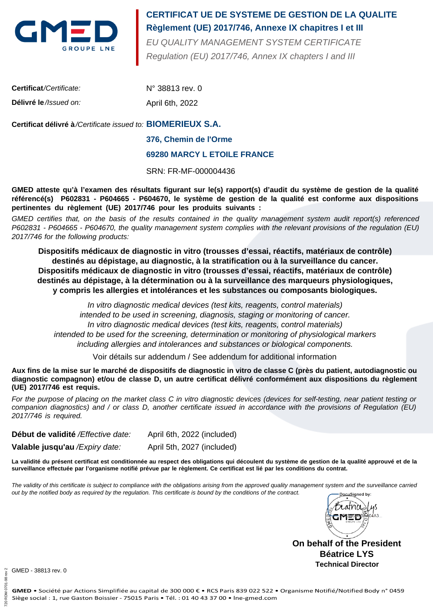

## **Règlement (UE) 2017/746, Annexe IX chapitres I et III CERTIFICAT UE DE SYSTEME DE GESTION DE LA QUALITE**

Regulation (EU) 2017/746, Annex IX chapters I and III EU QUALITY MANAGEMENT SYSTEM CERTIFICATE

| <b>Certificat/Certificate:</b> | $N^{\circ}$ 38813 rev. 0 |
|--------------------------------|--------------------------|
| Délivré le //ssued on:         | April 6th, 2022          |

### **BIOMERIEUX S.A. Certificat délivré à**/Certificate issued to:

#### **376, Chemin de l'Orme**

#### **69280 MARCY L ETOILE FRANCE**

SRN: FR-MF-000004436

**GMED atteste qu'à l'examen des résultats figurant sur le(s) rapport(s) d'audit du système de gestion de la qualité référencé(s) P602831 - P604665 - P604670, le système de gestion de la qualité est conforme aux dispositions pertinentes du règlement (UE) 2017/746 pour les produits suivants :**

GMED certifies that, on the basis of the results contained in the quality management system audit report(s) referenced P602831 - P604665 - P604670, the quality management system complies with the relevant provisions of the regulation (EU) 2017/746 for the following products:

**Dispositifs médicaux de diagnostic in vitro (trousses d'essai, réactifs, matériaux de contrôle) destinés au dépistage, au diagnostic, à la stratification ou à la surveillance du cancer. Dispositifs médicaux de diagnostic in vitro (trousses d'essai, réactifs, matériaux de contrôle) destinés au dépistage, à la détermination ou à la surveillance des marqueurs physiologiques, y compris les allergies et intolérances et les substances ou composants biologiques.**

In vitro diagnostic medical devices (test kits, reagents, control materials) intended to be used in screening, diagnosis, staging or monitoring of cancer. In vitro diagnostic medical devices (test kits, reagents, control materials) intended to be used for the screening, determination or monitoring of physiological markers including allergies and intolerances and substances or biological components.

Voir détails sur addendum / See addendum for additional information

**Aux fins de la mise sur le marché de dispositifs de diagnostic in vitro de classe C (près du patient, autodiagnostic ou diagnostic compagnon) et/ou de classe D, un autre certificat délivré conformément aux dispositions du règlement (UE) 2017/746 est requis.**

For the purpose of placing on the market class C in vitro diagnostic devices (devices for self-testing, near patient testing or companion diagnostics) and / or class D, another certificate issued in accordance with the provisions of Regulation (EU) 2017/746 is required.

**Début de validité** /Effective date: April 6th, 2022 (included)

**Valable jusqu'au** /Expiry date: April 5th, 2027 (included)

**La validité du présent certificat est conditionnée au respect des obligations qui découlent du système de gestion de la qualité approuvé et de la surveillance effectuée par l'organisme notifié prévue par le règlement. Ce certificat est lié par les conditions du contrat.**

The validity of this certificate is subject to compliance with the obligations arising from the approved quality management system and the surveillance carried out by the notified body as required by the regulation. This certificate is bound by the conditions of the contract.DocuSianed by:



**On behalf of the President Béatrice LYS Technical Director**

GMED - 38813 rev. 0

720 RDM 0701-98 rev 2

720 RDM 0701

 $-98$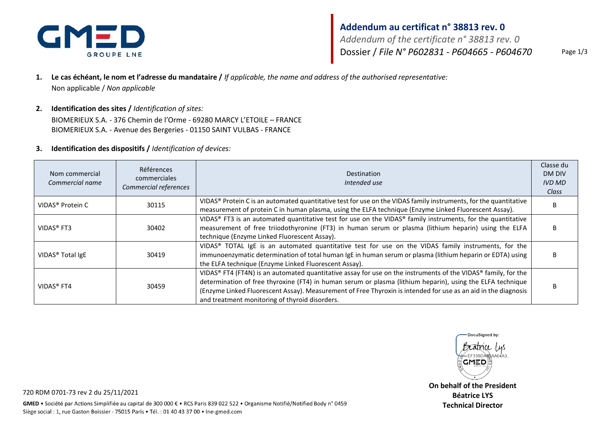

# **Addendum au certificat n° 38813 rev. 0**

*Addendum of the certificate n° 38813 rev. 0* Dossier / *File N° P602831 - P604665 - P604670* Page 1/3

- **1. Le cas échéant, le nom et l'adresse du mandataire /** *If applicable, the name and address of the authorised representative:* Non applicable / *Non applicable*
- **2. Identification des sites /** *Identification of sites:*

BIOMERIEUX S.A. - 376 Chemin de l'Orme - 69280 MARCY L'ETOILE – FRANCE BIOMERIEUX S.A. - Avenue des Bergeries - 01150 SAINT VULBAS - FRANCE

#### **3. Identification des dispositifs /** *Identification of devices:*

| Nom commercial<br>Commercial name | <b>Références</b><br>commerciales<br>Commercial references | <b>Destination</b><br>Intended use                                                                                                                                                                                                                                                                                                                                                              | Classe du<br>DM DIV<br><b>IVD MD</b><br>Class |
|-----------------------------------|------------------------------------------------------------|-------------------------------------------------------------------------------------------------------------------------------------------------------------------------------------------------------------------------------------------------------------------------------------------------------------------------------------------------------------------------------------------------|-----------------------------------------------|
| VIDAS <sup>®</sup> Protein C      | 30115                                                      | VIDAS® Protein C is an automated quantitative test for use on the VIDAS family instruments, for the quantitative<br>measurement of protein C in human plasma, using the ELFA technique (Enzyme Linked Fluorescent Assay).                                                                                                                                                                       |                                               |
| VIDAS <sup>®</sup> FT3            | 30402                                                      | VIDAS® FT3 is an automated quantitative test for use on the VIDAS® family instruments, for the quantitative<br>measurement of free triiodothyronine (FT3) in human serum or plasma (lithium heparin) using the ELFA<br>technique (Enzyme Linked Fluorescent Assay).                                                                                                                             |                                               |
| VIDAS <sup>®</sup> Total IgE      | 30419                                                      | VIDAS® TOTAL IgE is an automated quantitative test for use on the VIDAS family instruments, for the<br>immunoenzymatic determination of total human IgE in human serum or plasma (lithium heparin or EDTA) using<br>the ELFA technique (Enzyme Linked Fluorescent Assay).                                                                                                                       |                                               |
| VIDAS <sup>®</sup> FT4            | 30459                                                      | VIDAS® FT4 (FT4N) is an automated quantitative assay for use on the instruments of the VIDAS® family, for the<br>determination of free thyroxine (FT4) in human serum or plasma (lithium heparin), using the ELFA technique<br>(Enzyme Linked Fluorescent Assay). Measurement of Free Thyroxin is intended for use as an aid in the diagnosis<br>and treatment monitoring of thyroid disorders. |                                               |



**On behalf of the President Béatrice LYS Technical Director**

720 RDM 0701-73 rev 2 du 25/11/2021

GMED . Société par Actions Simplifiée au capital de 300 000 € . RCS Paris 839 022 522 . Organisme Notifié/Notified Body n° 0459 Siège social : 1, rue Gaston Boissier - 75015 Paris . Tél. : 01 40 43 37 00 . Ine-gmed.com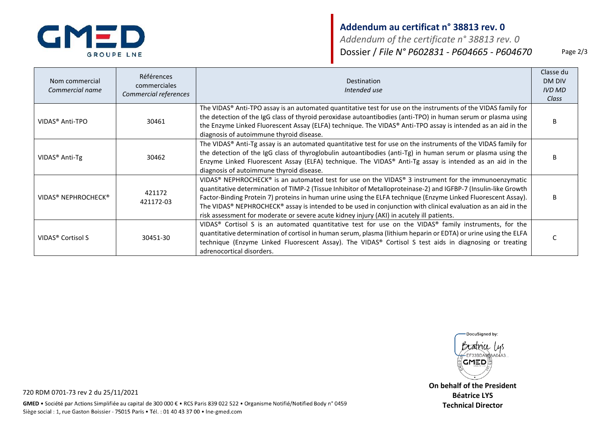

## **Addendum au certificat n° 38813 rev. 0**

*Addendum of the certificate n° 38813 rev. 0* Dossier / *File N° P602831 - P604665 - P604670* Page 2/3

| Nom commercial<br>Commercial name           | Références<br>commerciales<br>Commercial references | Destination<br>Intended use                                                                                                                                                                                                                                                                                                                                                                                                                                                                                                                           | Classe du<br>DM DIV<br><b>IVD MD</b><br>Class |
|---------------------------------------------|-----------------------------------------------------|-------------------------------------------------------------------------------------------------------------------------------------------------------------------------------------------------------------------------------------------------------------------------------------------------------------------------------------------------------------------------------------------------------------------------------------------------------------------------------------------------------------------------------------------------------|-----------------------------------------------|
| VIDAS <sup>®</sup> Anti-TPO                 | 30461                                               | The VIDAS® Anti-TPO assay is an automated quantitative test for use on the instruments of the VIDAS family for<br>the detection of the IgG class of thyroid peroxidase autoantibodies (anti-TPO) in human serum or plasma using<br>the Enzyme Linked Fluorescent Assay (ELFA) technique. The VIDAS® Anti-TPO assay is intended as an aid in the<br>diagnosis of autoimmune thyroid disease.                                                                                                                                                           | <sub>B</sub>                                  |
| VIDAS <sup>®</sup> Anti-Tg                  | 30462                                               | The VIDAS® Anti-Tg assay is an automated quantitative test for use on the instruments of the VIDAS family for<br>the detection of the IgG class of thyroglobulin autoantibodies (anti-Tg) in human serum or plasma using the<br>Enzyme Linked Fluorescent Assay (ELFA) technique. The VIDAS® Anti-Tg assay is intended as an aid in the<br>diagnosis of autoimmune thyroid disease.                                                                                                                                                                   | R                                             |
| VIDAS <sup>®</sup> NEPHROCHECK <sup>®</sup> | 421172<br>421172-03                                 | VIDAS® NEPHROCHECK® is an automated test for use on the VIDAS® 3 instrument for the immunoenzymatic<br>quantitative determination of TIMP-2 (Tissue Inhibitor of Metalloproteinase-2) and IGFBP-7 (Insulin-like Growth<br>Factor-Binding Protein 7) proteins in human urine using the ELFA technique (Enzyme Linked Fluorescent Assay).<br>The VIDAS® NEPHROCHECK® assay is intended to be used in conjunction with clinical evaluation as an aid in the<br>risk assessment for moderate or severe acute kidney injury (AKI) in acutely ill patients. | <sub>B</sub>                                  |
| VIDAS <sup>®</sup> Cortisol S               | 30451-30                                            | VIDAS® Cortisol S is an automated quantitative test for use on the VIDAS® family instruments, for the<br>quantitative determination of cortisol in human serum, plasma (lithium heparin or EDTA) or urine using the ELFA<br>technique (Enzyme Linked Fluorescent Assay). The VIDAS® Cortisol S test aids in diagnosing or treating<br>adrenocortical disorders.                                                                                                                                                                                       |                                               |



**On behalf of the President Béatrice LYS Technical Director**

720 RDM 0701-73 rev 2 du 25/11/2021

GMED . Société par Actions Simplifiée au capital de 300 000 € . RCS Paris 839 022 522 . Organisme Notifié/Notified Body n° 0459 Siège social : 1, rue Gaston Boissier - 75015 Paris . Tél. : 01 40 43 37 00 . Ine-gmed.com